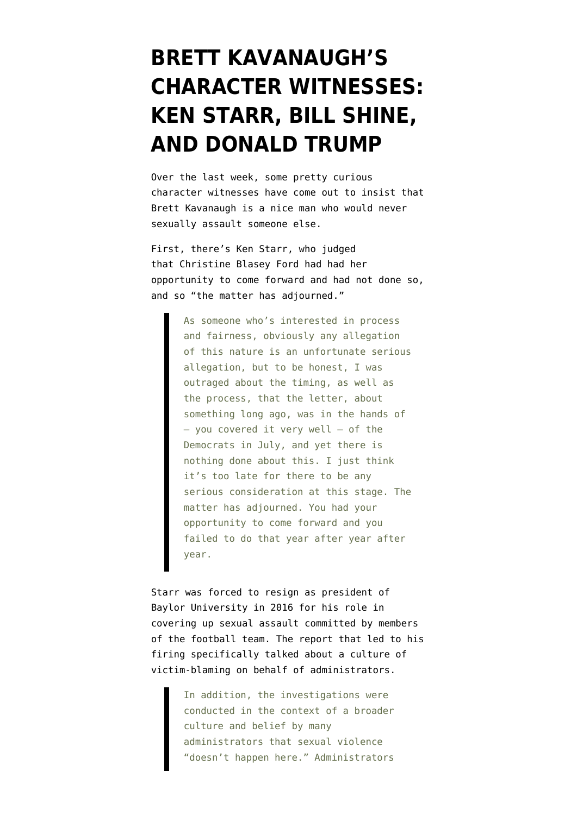## **[BRETT KAVANAUGH'S](https://www.emptywheel.net/2018/09/21/kavanaughs-character-witnesses-ken-starr-bill-shine-and-donald-trump/) [CHARACTER WITNESSES:](https://www.emptywheel.net/2018/09/21/kavanaughs-character-witnesses-ken-starr-bill-shine-and-donald-trump/) [KEN STARR, BILL SHINE,](https://www.emptywheel.net/2018/09/21/kavanaughs-character-witnesses-ken-starr-bill-shine-and-donald-trump/) [AND DONALD TRUMP](https://www.emptywheel.net/2018/09/21/kavanaughs-character-witnesses-ken-starr-bill-shine-and-donald-trump/)**

Over the last week, some pretty curious character witnesses have come out to insist that Brett Kavanaugh is a nice man who would never sexually assault someone else.

First, there's Ken Starr, who [judged](https://us.cnn.com/videos/politics/2018/09/16/sotu-ken-starr-full.cnn) that Christine Blasey Ford had had her opportunity to come forward and had not done so, and so "the matter has adjourned."

> As someone who's interested in process and fairness, obviously any allegation of this nature is an unfortunate serious allegation, but to be honest, I was outraged about the timing, as well as the process, that the letter, about something long ago, was in the hands of — you covered it very well — of the Democrats in July, and yet there is nothing done about this. I just think it's too late for there to be any serious consideration at this stage. The matter has adjourned. You had your opportunity to come forward and you failed to do that year after year after year.

Starr was forced to resign as president of Baylor University in 2016 for his role in covering up sexual assault committed by members of the football team. The [report](https://www.baylor.edu/thefacts/doc.php/266596.pdf) that led to his firing specifically talked about a culture of victim-blaming on behalf of administrators.

> In addition, the investigations were conducted in the context of a broader culture and belief by many administrators that sexual violence "doesn't happen here." Administrators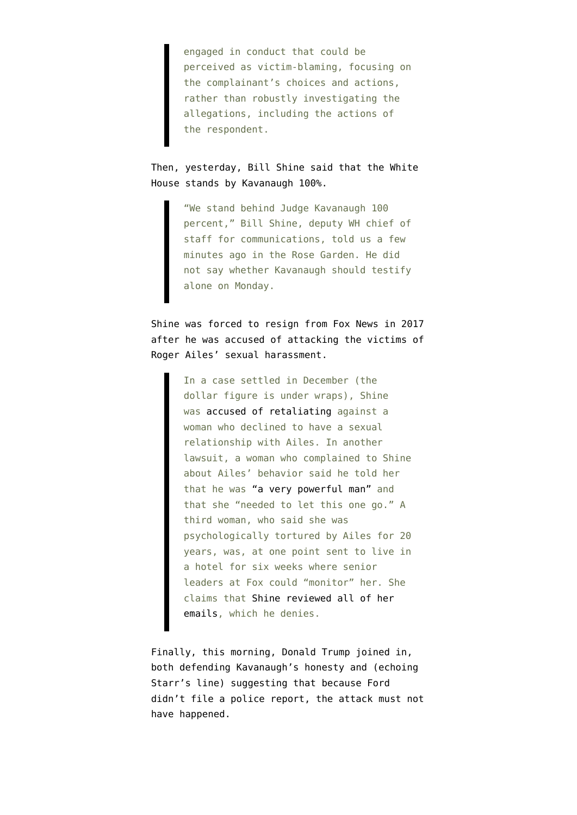engaged in conduct that could be perceived as victim-blaming, focusing on the complainant's choices and actions, rather than robustly investigating the allegations, including the actions of the respondent.

## Then, yesterday, Bill Shine said that the White House [stands by](https://twitter.com/jeffzeleny/status/1042882612879126528) Kavanaugh 100%.

"We stand behind Judge Kavanaugh 100 percent," Bill Shine, deputy WH chief of staff for communications, told us a few minutes ago in the Rose Garden. He did not say whether Kavanaugh should testify alone on Monday.

Shine was [forced to resign](https://www.vox.com/2018/7/5/17538132/bill-shine-fox-donald-trump-communications-sexual-harassment) from Fox News in 2017 after he was accused of attacking the victims of Roger Ailes' sexual harassment.

> In a case settled in December (the dollar figure is under wraps), Shine was [accused of retaliating](https://www.hollywoodreporter.com/thr-esq/fox-news-settles-julie-roginsky-lawsuit-1069608) against a woman who declined to have a sexual relationship with Ailes. In another lawsuit, a woman who complained to Shine about Ailes' behavior said he told her that he was ["a very powerful man"](https://lawandcrime.com/opinion/for-fox-news-co-president-bill-shine-was-also-a-potential-legal-problem-2/) and that she "needed to let this one go." A third woman, who said she was psychologically tortured by Ailes for 20 years, was, at one point sent to live in a hotel for six weeks where senior leaders at Fox could "monitor" her. She claims that [Shine reviewed all of her](http://nymag.com/daily/intelligencer/2016/07/fmr-fox-booker-harassed-by-ailes-for-20-years.html) [emails,](http://nymag.com/daily/intelligencer/2016/07/fmr-fox-booker-harassed-by-ailes-for-20-years.html) which he denies.

Finally, this morning, Donald Trump [joined in](https://twitter.com/realDonaldTrump/status/1043121858797686785), both defending Kavanaugh's honesty and (echoing Starr's line) suggesting that because Ford didn't file a police report, the attack must not have happened.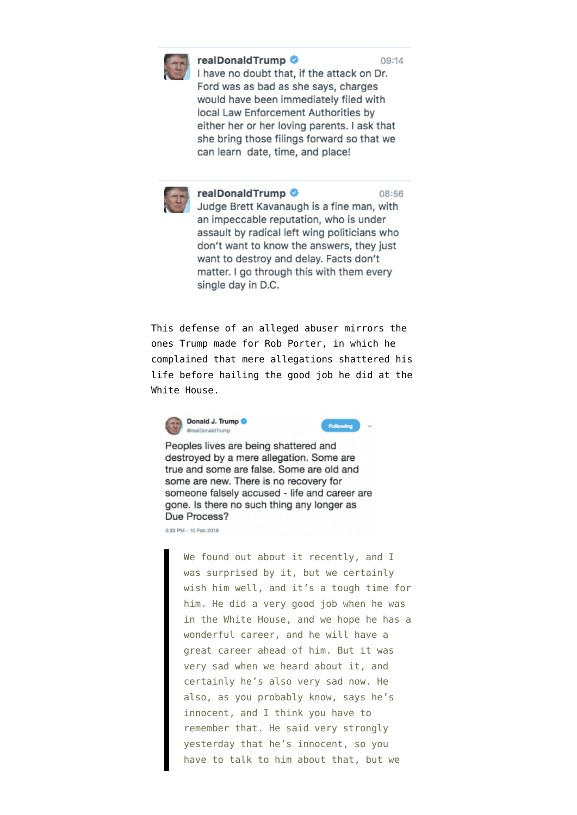

## realDonaldTrump

I have no doubt that, if the attack on Dr. Ford was as bad as she says, charges would have been immediately filed with local Law Enforcement Authorities by either her or her loving parents. I ask that she bring those filings forward so that we can learn date, time, and place!



realDonaldTrump

08:56

Judge Brett Kavanaugh is a fine man, with an impeccable reputation, who is under assault by radical left wing politicians who don't want to know the answers, they just want to destroy and delay. Facts don't matter. I go through this with them every single day in D.C.

This defense of an alleged abuser mirrors the ones Trump made for Rob Porter, in which he complained that mere allegations shattered his life before hailing the good job he did at the White House.





Peoples lives are being shattered and destroyed by a mere allegation. Some are true and some are false. Some are old and some are new. There is no recovery for someone falsely accused - life and career are gone. Is there no such thing any longer as Due Process?

3:33 PM - 10 Feb 2018

We found out about it recently, and I was surprised by it, but we certainly wish him well, and it's a tough time for him. He did a very good job when he was in the White House, and we hope he has a wonderful career, and he will have a great career ahead of him. But it was very sad when we heard about it, and certainly he's also very sad now. He also, as you probably know, says he's innocent, and I think you have to remember that. He said very strongly yesterday that he's innocent, so you have to talk to him about that, but we

09:14